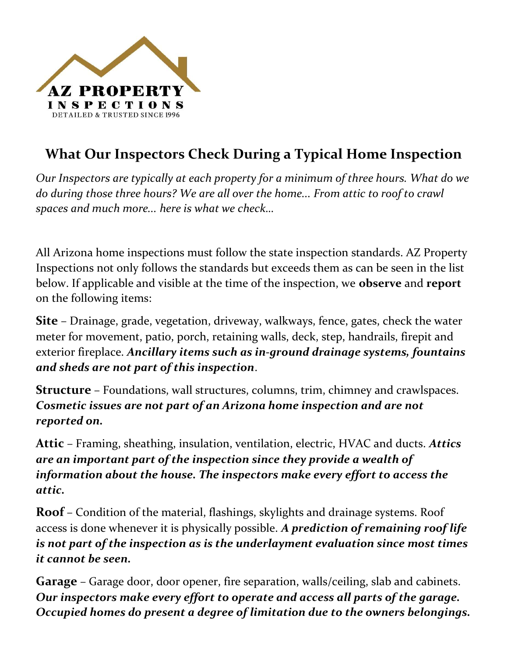

## What Our Inspectors Check During a Typical Home Inspection

Our Inspectors are typically at each property for a minimum of three hours. What do we do during those three hours? We are all over the home... From attic to roof to crawl spaces and much more... here is what we check…

All Arizona home inspections must follow the state inspection standards. AZ Property Inspections not only follows the standards but exceeds them as can be seen in the list below. If applicable and visible at the time of the inspection, we observe and report on the following items:

Site – Drainage, grade, vegetation, driveway, walkways, fence, gates, check the water meter for movement, patio, porch, retaining walls, deck, step, handrails, firepit and exterior fireplace. Ancillary items such as in-ground drainage systems, fountains and sheds are not part of this inspection.

Structure – Foundations, wall structures, columns, trim, chimney and crawlspaces. Cosmetic issues are not part of an Arizona home inspection and are not reported on.

Attic – Framing, sheathing, insulation, ventilation, electric, HVAC and ducts. Attics are an important part of the inspection since they provide a wealth of information about the house. The inspectors make every effort to access the attic.

Roof – Condition of the material, flashings, skylights and drainage systems. Roof access is done whenever it is physically possible. A prediction of remaining roof life is not part of the inspection as is the underlayment evaluation since most times it cannot be seen.

Garage – Garage door, door opener, fire separation, walls/ceiling, slab and cabinets. Our inspectors make every effort to operate and access all parts of the garage. Occupied homes do present a degree of limitation due to the owners belongings.